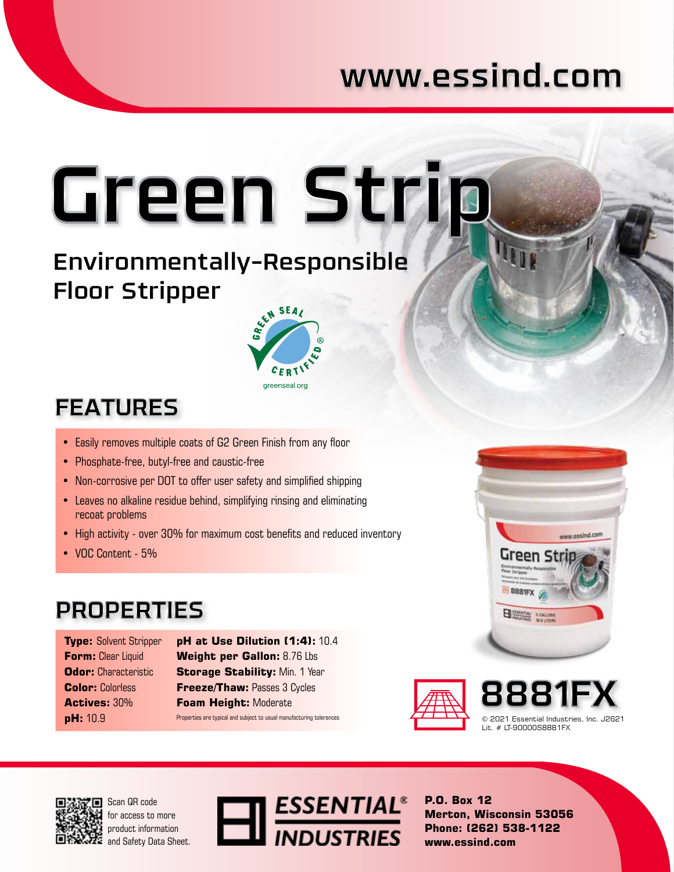## www.essind.com

# Green Stri<u>p</u>

### Environmentally-Responsible Floor Stripper



## **FEATURES**

- Easily removes multiple coats of G2 Green Finish from any floor
- Phosphate-free, butyl-free and caustic-free
- Non-corrosive per DOT to offer user safety and simplified shipping
- Leaves no alkaline residue behind, simplifying rinsing and eliminating recoat problems
- High activity over 30% for maximum cost benefits and reduced inventory
- VOC Content 5%

### **PROPERTIES**

**Type:** Solvent Stripper **Form:** Clear Liquid **Odor:** Characteristic **Color:** Colorless **Actives:** 30% **pH:** 10.9

**pH at Use Dilution (1:4):** 10.4 **Weight per Gallon:** 8.76 Lbs **Storage Stability: Min. 1 Year Freeze/Thaw:** Passes 3 Cycles **Foam Height:** Moderate Properties are typical and subject to usual manufacturing tolerances







Scan QR code for access to more product information and Safety Data Sheet.



**P.O. Box 12 Merton, Wisconsin 53056 Phone: (262) 538-1122 www.essind.com**